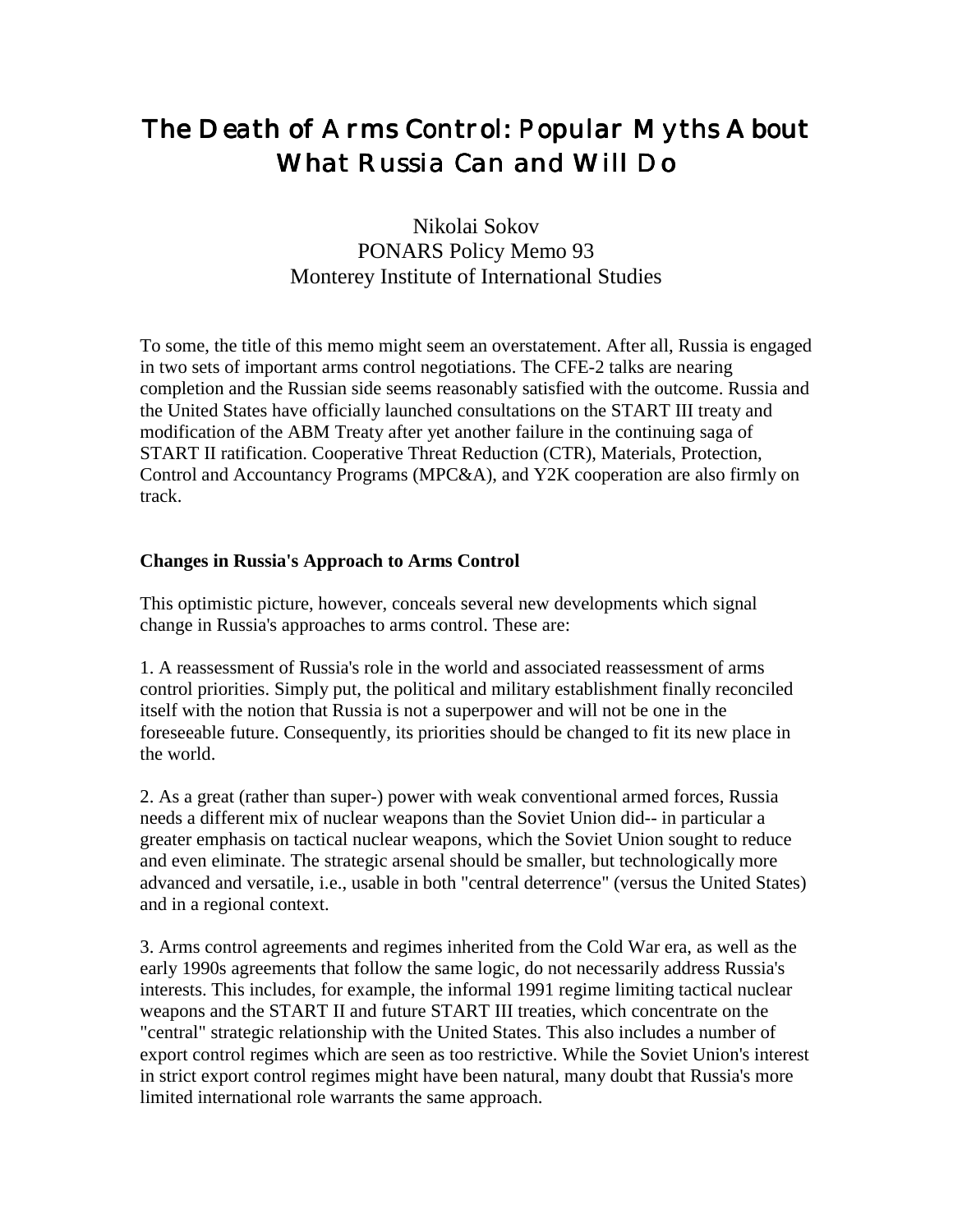# The Death of Arms Control: Popular Myths About What Russia Can and Will Do

## Nikolai Sokov PONARS Policy Memo 93 Monterey Institute of International Studies

To some, the title of this memo might seem an overstatement. After all, Russia is engaged in two sets of important arms control negotiations. The CFE-2 talks are nearing completion and the Russian side seems reasonably satisfied with the outcome. Russia and the United States have officially launched consultations on the START III treaty and modification of the ABM Treaty after yet another failure in the continuing saga of START II ratification. Cooperative Threat Reduction (CTR), Materials, Protection, Control and Accountancy Programs (MPC&A), and Y2K cooperation are also firmly on track.

#### **Changes in Russia's Approach to Arms Control**

This optimistic picture, however, conceals several new developments which signal change in Russia's approaches to arms control. These are:

1. A reassessment of Russia's role in the world and associated reassessment of arms control priorities. Simply put, the political and military establishment finally reconciled itself with the notion that Russia is not a superpower and will not be one in the foreseeable future. Consequently, its priorities should be changed to fit its new place in the world.

2. As a great (rather than super-) power with weak conventional armed forces, Russia needs a different mix of nuclear weapons than the Soviet Union did-- in particular a greater emphasis on tactical nuclear weapons, which the Soviet Union sought to reduce and even eliminate. The strategic arsenal should be smaller, but technologically more advanced and versatile, i.e., usable in both "central deterrence" (versus the United States) and in a regional context.

3. Arms control agreements and regimes inherited from the Cold War era, as well as the early 1990s agreements that follow the same logic, do not necessarily address Russia's interests. This includes, for example, the informal 1991 regime limiting tactical nuclear weapons and the START II and future START III treaties, which concentrate on the "central" strategic relationship with the United States. This also includes a number of export control regimes which are seen as too restrictive. While the Soviet Union's interest in strict export control regimes might have been natural, many doubt that Russia's more limited international role warrants the same approach.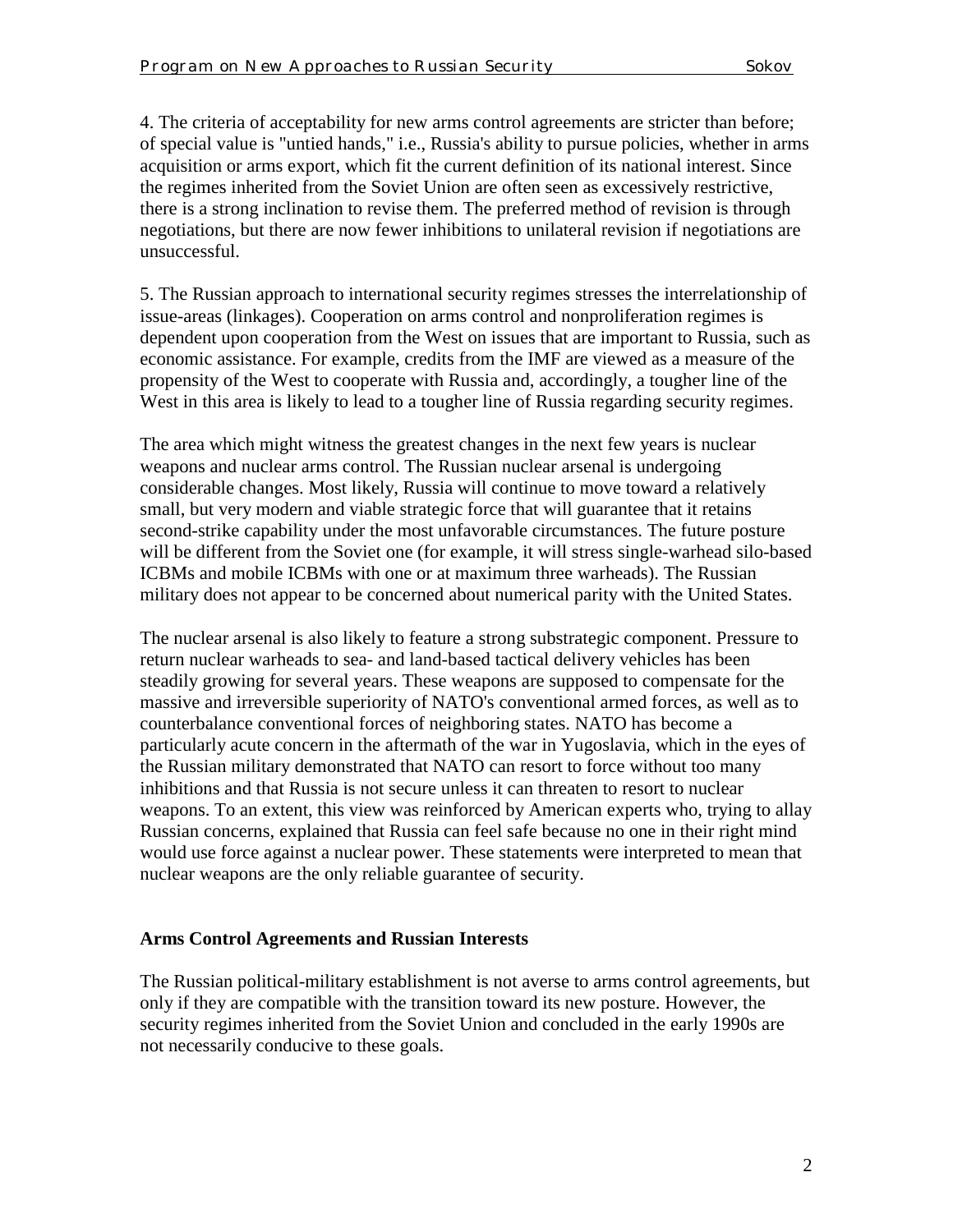4. The criteria of acceptability for new arms control agreements are stricter than before; of special value is "untied hands," i.e., Russia's ability to pursue policies, whether in arms acquisition or arms export, which fit the current definition of its national interest. Since the regimes inherited from the Soviet Union are often seen as excessively restrictive, there is a strong inclination to revise them. The preferred method of revision is through negotiations, but there are now fewer inhibitions to unilateral revision if negotiations are unsuccessful.

5. The Russian approach to international security regimes stresses the interrelationship of issue-areas (linkages). Cooperation on arms control and nonproliferation regimes is dependent upon cooperation from the West on issues that are important to Russia, such as economic assistance. For example, credits from the IMF are viewed as a measure of the propensity of the West to cooperate with Russia and, accordingly, a tougher line of the West in this area is likely to lead to a tougher line of Russia regarding security regimes.

The area which might witness the greatest changes in the next few years is nuclear weapons and nuclear arms control. The Russian nuclear arsenal is undergoing considerable changes. Most likely, Russia will continue to move toward a relatively small, but very modern and viable strategic force that will guarantee that it retains second-strike capability under the most unfavorable circumstances. The future posture will be different from the Soviet one (for example, it will stress single-warhead silo-based ICBMs and mobile ICBMs with one or at maximum three warheads). The Russian military does not appear to be concerned about numerical parity with the United States.

The nuclear arsenal is also likely to feature a strong substrategic component. Pressure to return nuclear warheads to sea- and land-based tactical delivery vehicles has been steadily growing for several years. These weapons are supposed to compensate for the massive and irreversible superiority of NATO's conventional armed forces, as well as to counterbalance conventional forces of neighboring states. NATO has become a particularly acute concern in the aftermath of the war in Yugoslavia, which in the eyes of the Russian military demonstrated that NATO can resort to force without too many inhibitions and that Russia is not secure unless it can threaten to resort to nuclear weapons. To an extent, this view was reinforced by American experts who, trying to allay Russian concerns, explained that Russia can feel safe because no one in their right mind would use force against a nuclear power. These statements were interpreted to mean that nuclear weapons are the only reliable guarantee of security.

### **Arms Control Agreements and Russian Interests**

The Russian political-military establishment is not averse to arms control agreements, but only if they are compatible with the transition toward its new posture. However, the security regimes inherited from the Soviet Union and concluded in the early 1990s are not necessarily conducive to these goals.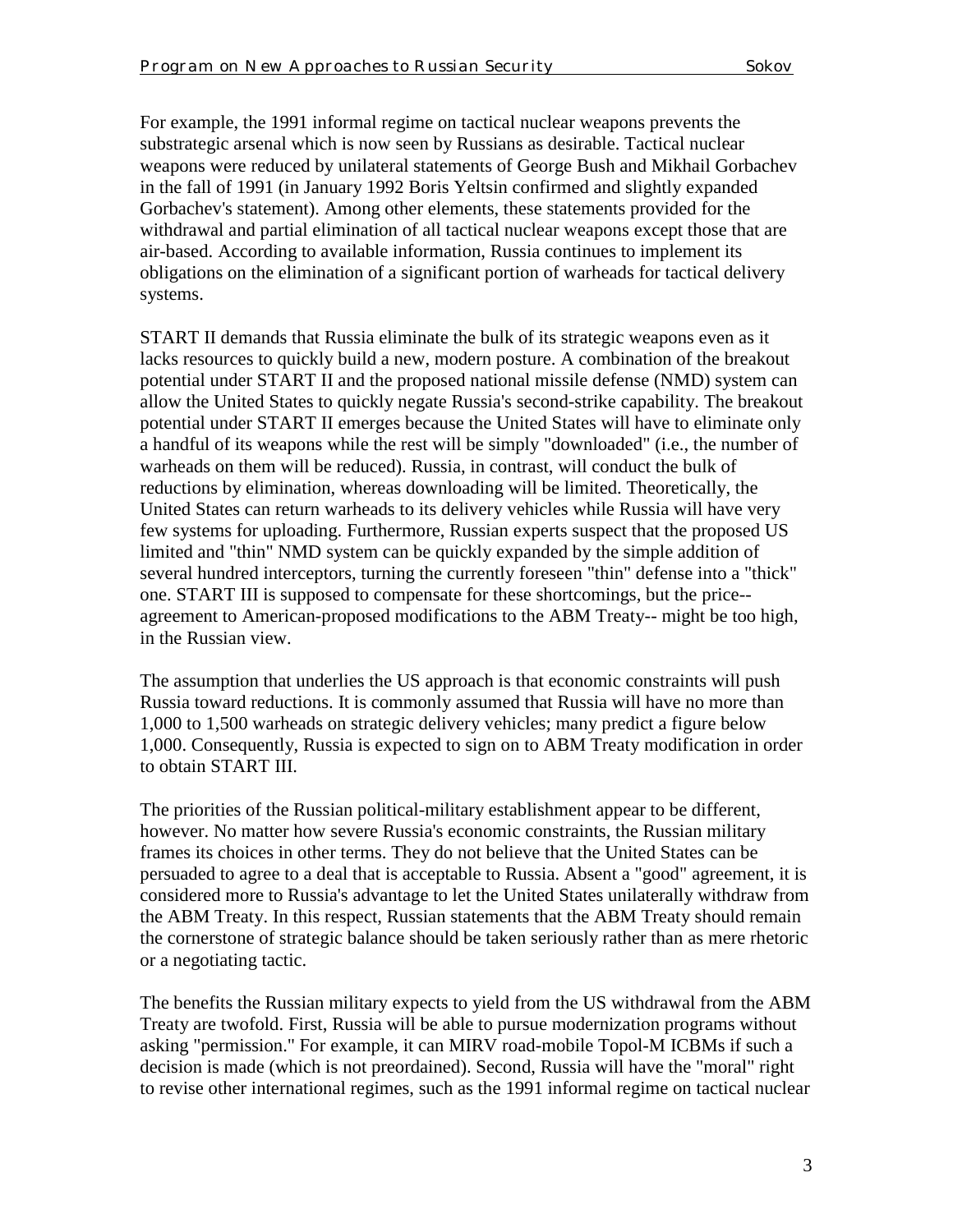For example, the 1991 informal regime on tactical nuclear weapons prevents the substrategic arsenal which is now seen by Russians as desirable. Tactical nuclear weapons were reduced by unilateral statements of George Bush and Mikhail Gorbachev in the fall of 1991 (in January 1992 Boris Yeltsin confirmed and slightly expanded Gorbachev's statement). Among other elements, these statements provided for the withdrawal and partial elimination of all tactical nuclear weapons except those that are air-based. According to available information, Russia continues to implement its obligations on the elimination of a significant portion of warheads for tactical delivery systems.

START II demands that Russia eliminate the bulk of its strategic weapons even as it lacks resources to quickly build a new, modern posture. A combination of the breakout potential under START II and the proposed national missile defense (NMD) system can allow the United States to quickly negate Russia's second-strike capability. The breakout potential under START II emerges because the United States will have to eliminate only a handful of its weapons while the rest will be simply "downloaded" (i.e., the number of warheads on them will be reduced). Russia, in contrast, will conduct the bulk of reductions by elimination, whereas downloading will be limited. Theoretically, the United States can return warheads to its delivery vehicles while Russia will have very few systems for uploading. Furthermore, Russian experts suspect that the proposed US limited and "thin" NMD system can be quickly expanded by the simple addition of several hundred interceptors, turning the currently foreseen "thin" defense into a "thick" one. START III is supposed to compensate for these shortcomings, but the price- agreement to American-proposed modifications to the ABM Treaty-- might be too high, in the Russian view.

The assumption that underlies the US approach is that economic constraints will push Russia toward reductions. It is commonly assumed that Russia will have no more than 1,000 to 1,500 warheads on strategic delivery vehicles; many predict a figure below 1,000. Consequently, Russia is expected to sign on to ABM Treaty modification in order to obtain START III.

The priorities of the Russian political-military establishment appear to be different, however. No matter how severe Russia's economic constraints, the Russian military frames its choices in other terms. They do not believe that the United States can be persuaded to agree to a deal that is acceptable to Russia. Absent a "good" agreement, it is considered more to Russia's advantage to let the United States unilaterally withdraw from the ABM Treaty. In this respect, Russian statements that the ABM Treaty should remain the cornerstone of strategic balance should be taken seriously rather than as mere rhetoric or a negotiating tactic.

The benefits the Russian military expects to yield from the US withdrawal from the ABM Treaty are twofold. First, Russia will be able to pursue modernization programs without asking "permission." For example, it can MIRV road-mobile Topol-M ICBMs if such a decision is made (which is not preordained). Second, Russia will have the "moral" right to revise other international regimes, such as the 1991 informal regime on tactical nuclear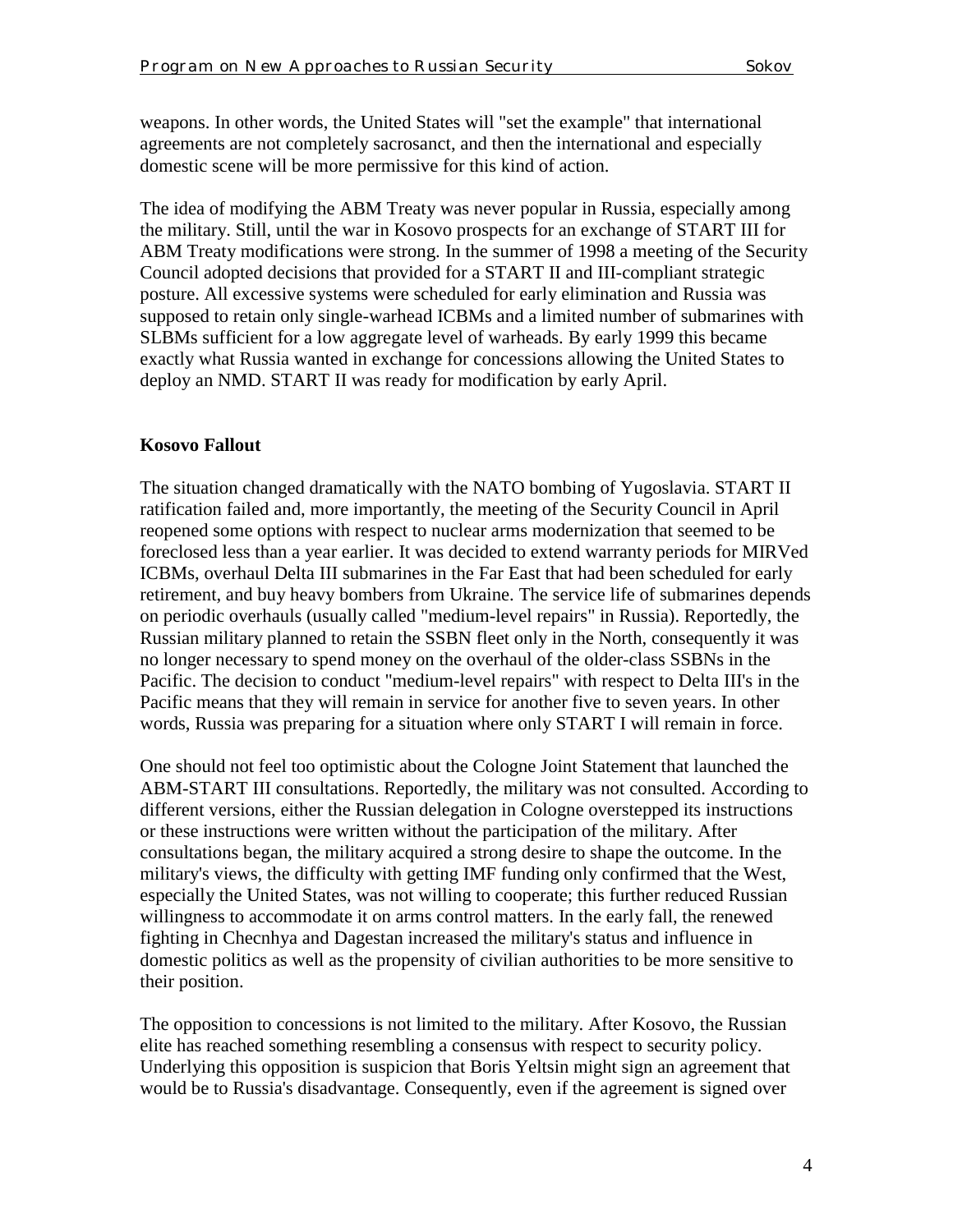weapons. In other words, the United States will "set the example" that international agreements are not completely sacrosanct, and then the international and especially domestic scene will be more permissive for this kind of action.

The idea of modifying the ABM Treaty was never popular in Russia, especially among the military. Still, until the war in Kosovo prospects for an exchange of START III for ABM Treaty modifications were strong. In the summer of 1998 a meeting of the Security Council adopted decisions that provided for a START II and III-compliant strategic posture. All excessive systems were scheduled for early elimination and Russia was supposed to retain only single-warhead ICBMs and a limited number of submarines with SLBMs sufficient for a low aggregate level of warheads. By early 1999 this became exactly what Russia wanted in exchange for concessions allowing the United States to deploy an NMD. START II was ready for modification by early April.

### **Kosovo Fallout**

The situation changed dramatically with the NATO bombing of Yugoslavia. START II ratification failed and, more importantly, the meeting of the Security Council in April reopened some options with respect to nuclear arms modernization that seemed to be foreclosed less than a year earlier. It was decided to extend warranty periods for MIRVed ICBMs, overhaul Delta III submarines in the Far East that had been scheduled for early retirement, and buy heavy bombers from Ukraine. The service life of submarines depends on periodic overhauls (usually called "medium-level repairs" in Russia). Reportedly, the Russian military planned to retain the SSBN fleet only in the North, consequently it was no longer necessary to spend money on the overhaul of the older-class SSBNs in the Pacific. The decision to conduct "medium-level repairs" with respect to Delta III's in the Pacific means that they will remain in service for another five to seven years. In other words, Russia was preparing for a situation where only START I will remain in force.

One should not feel too optimistic about the Cologne Joint Statement that launched the ABM-START III consultations. Reportedly, the military was not consulted. According to different versions, either the Russian delegation in Cologne overstepped its instructions or these instructions were written without the participation of the military. After consultations began, the military acquired a strong desire to shape the outcome. In the military's views, the difficulty with getting IMF funding only confirmed that the West, especially the United States, was not willing to cooperate; this further reduced Russian willingness to accommodate it on arms control matters. In the early fall, the renewed fighting in Checnhya and Dagestan increased the military's status and influence in domestic politics as well as the propensity of civilian authorities to be more sensitive to their position.

The opposition to concessions is not limited to the military. After Kosovo, the Russian elite has reached something resembling a consensus with respect to security policy. Underlying this opposition is suspicion that Boris Yeltsin might sign an agreement that would be to Russia's disadvantage. Consequently, even if the agreement is signed over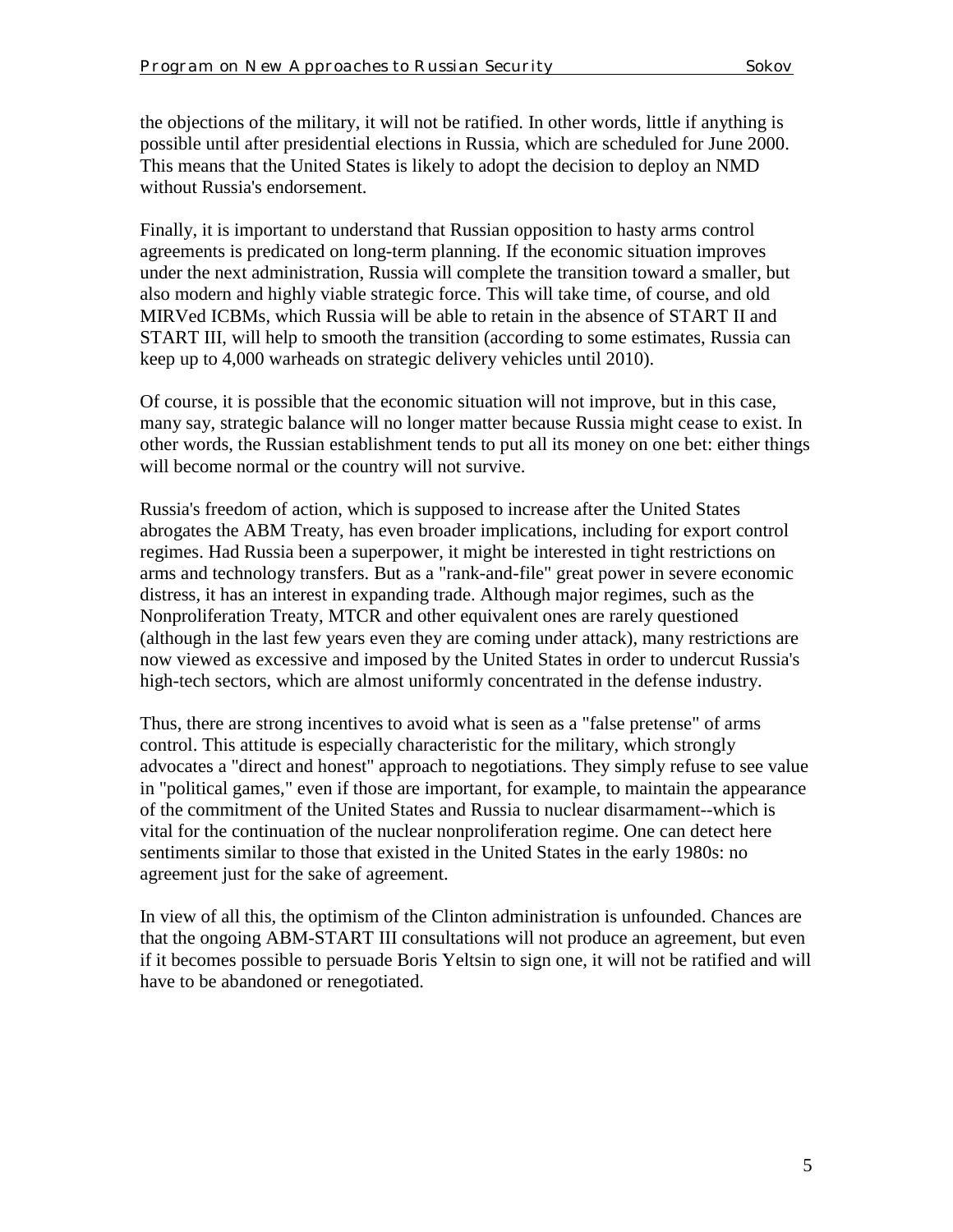the objections of the military, it will not be ratified. In other words, little if anything is possible until after presidential elections in Russia, which are scheduled for June 2000. This means that the United States is likely to adopt the decision to deploy an NMD without Russia's endorsement.

Finally, it is important to understand that Russian opposition to hasty arms control agreements is predicated on long-term planning. If the economic situation improves under the next administration, Russia will complete the transition toward a smaller, but also modern and highly viable strategic force. This will take time, of course, and old MIRVed ICBMs, which Russia will be able to retain in the absence of START II and START III, will help to smooth the transition (according to some estimates, Russia can keep up to 4,000 warheads on strategic delivery vehicles until 2010).

Of course, it is possible that the economic situation will not improve, but in this case, many say, strategic balance will no longer matter because Russia might cease to exist. In other words, the Russian establishment tends to put all its money on one bet: either things will become normal or the country will not survive.

Russia's freedom of action, which is supposed to increase after the United States abrogates the ABM Treaty, has even broader implications, including for export control regimes. Had Russia been a superpower, it might be interested in tight restrictions on arms and technology transfers. But as a "rank-and-file" great power in severe economic distress, it has an interest in expanding trade. Although major regimes, such as the Nonproliferation Treaty, MTCR and other equivalent ones are rarely questioned (although in the last few years even they are coming under attack), many restrictions are now viewed as excessive and imposed by the United States in order to undercut Russia's high-tech sectors, which are almost uniformly concentrated in the defense industry.

Thus, there are strong incentives to avoid what is seen as a "false pretense" of arms control. This attitude is especially characteristic for the military, which strongly advocates a "direct and honest" approach to negotiations. They simply refuse to see value in "political games," even if those are important, for example, to maintain the appearance of the commitment of the United States and Russia to nuclear disarmament--which is vital for the continuation of the nuclear nonproliferation regime. One can detect here sentiments similar to those that existed in the United States in the early 1980s: no agreement just for the sake of agreement.

In view of all this, the optimism of the Clinton administration is unfounded. Chances are that the ongoing ABM-START III consultations will not produce an agreement, but even if it becomes possible to persuade Boris Yeltsin to sign one, it will not be ratified and will have to be abandoned or renegotiated.